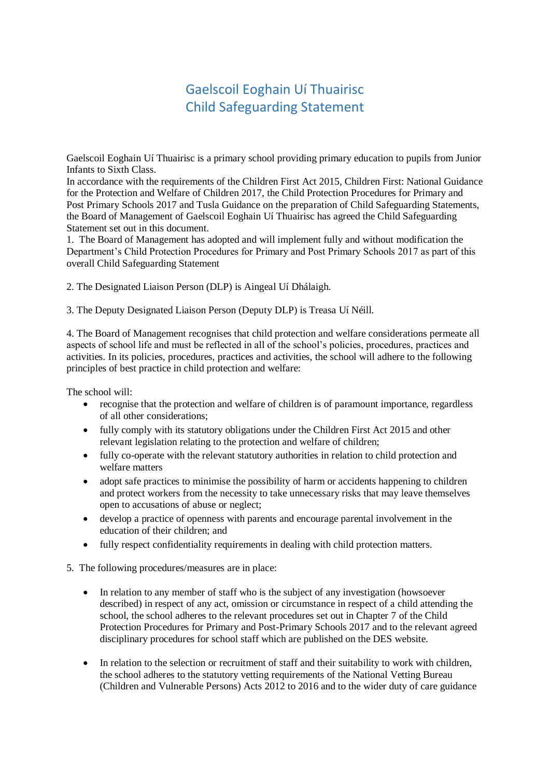## Gaelscoil Eoghain Uí Thuairisc Child Safeguarding Statement

Gaelscoil Eoghain Uí Thuairisc is a primary school providing primary education to pupils from Junior Infants to Sixth Class.

In accordance with the requirements of the Children First Act 2015, Children First: National Guidance for the Protection and Welfare of Children 2017, the Child Protection Procedures for Primary and Post Primary Schools 2017 and Tusla Guidance on the preparation of Child Safeguarding Statements, the Board of Management of Gaelscoil Eoghain Uí Thuairisc has agreed the Child Safeguarding Statement set out in this document.

1. The Board of Management has adopted and will implement fully and without modification the Department's Child Protection Procedures for Primary and Post Primary Schools 2017 as part of this overall Child Safeguarding Statement

2. The Designated Liaison Person (DLP) is Aingeal Uí Dhálaigh.

3. The Deputy Designated Liaison Person (Deputy DLP) is Treasa Uí Néill.

4. The Board of Management recognises that child protection and welfare considerations permeate all aspects of school life and must be reflected in all of the school's policies, procedures, practices and activities. In its policies, procedures, practices and activities, the school will adhere to the following principles of best practice in child protection and welfare:

The school will:

- recognise that the protection and welfare of children is of paramount importance, regardless of all other considerations;
- fully comply with its statutory obligations under the Children First Act 2015 and other relevant legislation relating to the protection and welfare of children;
- fully co-operate with the relevant statutory authorities in relation to child protection and welfare matters
- adopt safe practices to minimise the possibility of harm or accidents happening to children and protect workers from the necessity to take unnecessary risks that may leave themselves open to accusations of abuse or neglect;
- develop a practice of openness with parents and encourage parental involvement in the education of their children; and
- fully respect confidentiality requirements in dealing with child protection matters.
- 5. The following procedures/measures are in place:
	- In relation to any member of staff who is the subject of any investigation (howsoever described) in respect of any act, omission or circumstance in respect of a child attending the school, the school adheres to the relevant procedures set out in Chapter 7 of the Child Protection Procedures for Primary and Post-Primary Schools 2017 and to the relevant agreed disciplinary procedures for school staff which are published on the DES website.
	- In relation to the selection or recruitment of staff and their suitability to work with children, the school adheres to the statutory vetting requirements of the National Vetting Bureau (Children and Vulnerable Persons) Acts 2012 to 2016 and to the wider duty of care guidance